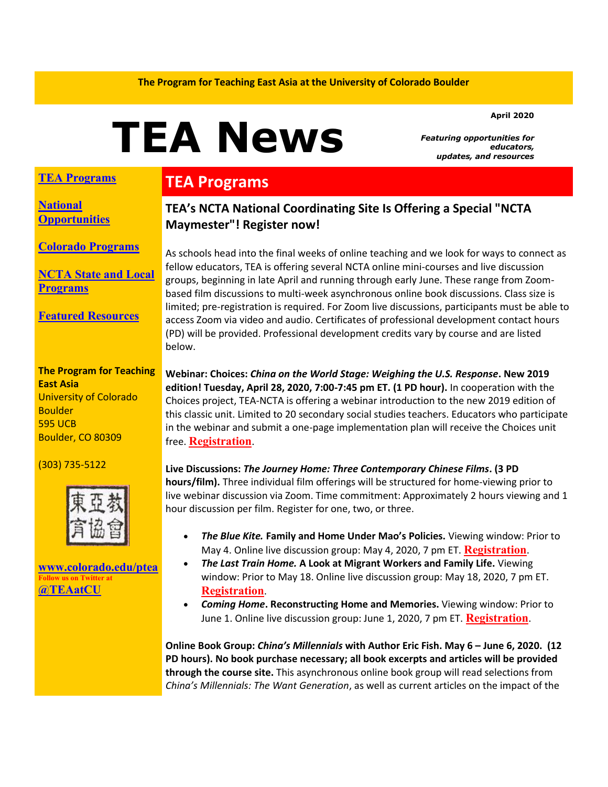#### **April 2020**

# **TEA News**

*Featuring opportunities for educators, updates, and resources* 

#### **[TEA Programs](#page-0-0)**

**[National](#page-1-0)  [Opportunities](#page-1-0)**

**[Colorado Programs](#page-1-1)**

**[NCTA State and Local](#page-1-2)  [Programs](#page-1-2)**

**[Featured Resources](#page-1-3)**

**The Program for Teaching East Asia** University of Colorado **Boulder** 595 UCB Boulder, CO 80309

(303) 735-5122



**[www.colorado.edu/ptea](https://colorado.us14.list-manage.com/track/click?u=a98f30f153ca1547742422446&id=f83dd58663&e=ba177fc7e9) Follow us on Twitter at [@TEAatCU](https://colorado.us14.list-manage.com/track/click?u=a98f30f153ca1547742422446&id=57571e21f3&e=ba177fc7e9)**

### <span id="page-0-0"></span>**TEA Programs**

#### **TEA's NCTA National Coordinating Site Is Offering a Special "NCTA Maymester"! Register now!**

As schools head into the final weeks of online teaching and we look for ways to connect as fellow educators, TEA is offering several NCTA online mini-courses and live discussion groups, beginning in late April and running through early June. These range from Zoombased film discussions to multi-week asynchronous online book discussions. Class size is limited; pre-registration is required. For Zoom live discussions, participants must be able to access Zoom via video and audio. Certificates of professional development contact hours (PD) will be provided. Professional development credits vary by course and are listed below.

**Webinar: Choices:** *China on the World Stage: Weighing the U.S. Response***. New 2019 edition! Tuesday, April 28, 2020, 7:00-7:45 pm ET. (1 PD hour).** In cooperation with the Choices project, TEA-NCTA is offering a webinar introduction to the new 2019 edition of this classic unit. Limited to 20 secondary social studies teachers. Educators who participate in the webinar and submit a one-page implementation plan will receive the Choices unit free. **[Registration](https://colorado.us14.list-manage.com/track/click?u=a98f30f153ca1547742422446&id=03aecdc418&e=ba177fc7e9)**.

**Live Discussions:** *The Journey Home: Three Contemporary Chinese Films***. (3 PD hours/film).** Three individual film offerings will be structured for home-viewing prior to live webinar discussion via Zoom. Time commitment: Approximately 2 hours viewing and 1 hour discussion per film. Register for one, two, or three.

- *The Blue Kite.* **Family and Home Under Mao's Policies.** Viewing window: Prior to May 4. Online live discussion group: May 4, 2020, 7 pm ET. **[Registration](https://colorado.us14.list-manage.com/track/click?u=a98f30f153ca1547742422446&id=d9e7605b4e&e=ba177fc7e9)**.
- *The Last Train Home.* **A Look at Migrant Workers and Family Life.** Viewing window: Prior to May 18. Online live discussion group: May 18, 2020, 7 pm ET. **[Registration](https://colorado.us14.list-manage.com/track/click?u=a98f30f153ca1547742422446&id=4a3b5f3c76&e=ba177fc7e9)**.
- *Coming Home***. Reconstructing Home and Memories.** Viewing window: Prior to June 1. Online live discussion group: June 1, 2020, 7 pm ET. **[Registration](https://colorado.us14.list-manage.com/track/click?u=a98f30f153ca1547742422446&id=0f2aeb9afa&e=ba177fc7e9)**.

**Online Book Group:** *China's Millennials* **with Author Eric Fish. May 6 – June 6, 2020. (12 PD hours). No book purchase necessary; all book excerpts and articles will be provided through the course site.** This asynchronous online book group will read selections from *China's Millennials: The Want Generation*, as well as current articles on the impact of the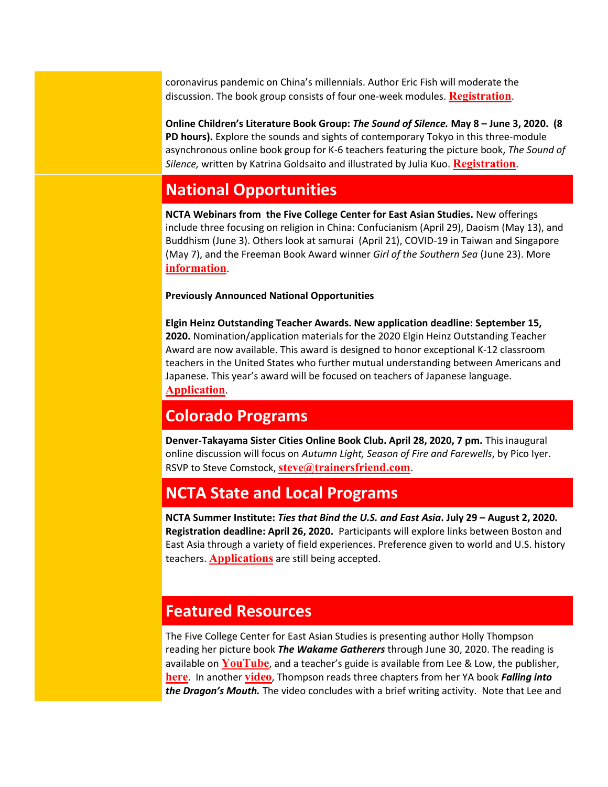coronavirus pandemic on China's millennials. Author Eric Fish will moderate the discussion. The book group consists of four one-week modules. **[Registration](https://colorado.us14.list-manage.com/track/click?u=a98f30f153ca1547742422446&id=5d62a29cd7&e=ba177fc7e9)**.

**Online Children's Literature Book Group:** *The Sound of Silence.* **May 8 – June 3, 2020. (8 PD hours).** Explore the sounds and sights of contemporary Tokyo in this three-module asynchronous online book group for K-6 teachers featuring the picture book, *The Sound of Silence,* written by Katrina Goldsaito and illustrated by Julia Kuo. **[Registration](https://colorado.us14.list-manage.com/track/click?u=a98f30f153ca1547742422446&id=71af8ab5c3&e=ba177fc7e9)**.

## <span id="page-1-0"></span>**National Opportunities**

**NCTA Webinars from the Five College Center for East Asian Studies.** New offerings include three focusing on religion in China: Confucianism (April 29), Daoism (May 13), and Buddhism (June 3). Others look at samurai (April 21), COVID-19 in Taiwan and Singapore (May 7), and the Freeman Book Award winner *Girl of the Southern Sea* (June 23). More **[information](https://colorado.us14.list-manage.com/track/click?u=a98f30f153ca1547742422446&id=6e362c2372&e=ba177fc7e9)**.

#### **Previously Announced National Opportunities**

**Elgin Heinz Outstanding Teacher Awards. New application deadline: September 15, 2020.** Nomination/application materials for the 2020 Elgin Heinz Outstanding Teacher Award are now available. This award is designed to honor exceptional K-12 classroom teachers in the United States who further mutual understanding between Americans and Japanese. This year's award will be focused on teachers of Japanese language. **[Application](https://colorado.us14.list-manage.com/track/click?u=a98f30f153ca1547742422446&id=1e8a7c2f98&e=ba177fc7e9)**.

### <span id="page-1-1"></span>**Colorado Programs**

**Denver-Takayama Sister Cities Online Book Club. April 28, 2020, 7 pm.** This inaugural online discussion will focus on *Autumn Light, Season of Fire and Farewells*, by Pico Iyer. RSVP to Steve Comstock, **[steve@trainersfriend.com](mailto:%20steve@trainersfriend.com)**.

## <span id="page-1-2"></span>**NCTA State and Local Programs**

**NCTA Summer Institute:** *Ties that Bind the U.S. and East Asia***. July 29 – August 2, 2020. Registration deadline: April 26, 2020.** Participants will explore links between Boston and East Asia through a variety of field experiences. Preference given to world and U.S. history teachers. **[Applications](https://colorado.us14.list-manage.com/track/click?u=a98f30f153ca1547742422446&id=5762a9e5f1&e=ba177fc7e9)** are still being accepted.

### <span id="page-1-3"></span>**Featured Resources**

The Five College Center for East Asian Studies is presenting author Holly Thompson reading her picture book *The Wakame Gatherers* through June 30, 2020. The reading is available on **[YouTube](https://colorado.us14.list-manage.com/track/click?u=a98f30f153ca1547742422446&id=30cb2b1798&e=ba177fc7e9)**, and a teacher's guide is available from Lee & Low, the publisher, **[here](https://colorado.us14.list-manage.com/track/click?u=a98f30f153ca1547742422446&id=1d9e01f9c2&e=ba177fc7e9)**. In another **[video](https://colorado.us14.list-manage.com/track/click?u=a98f30f153ca1547742422446&id=e1a2ba4c24&e=ba177fc7e9)**, Thompson reads three chapters from her YA book *Falling into the Dragon's Mouth.* The video concludes with a brief writing activity. Note that Lee and